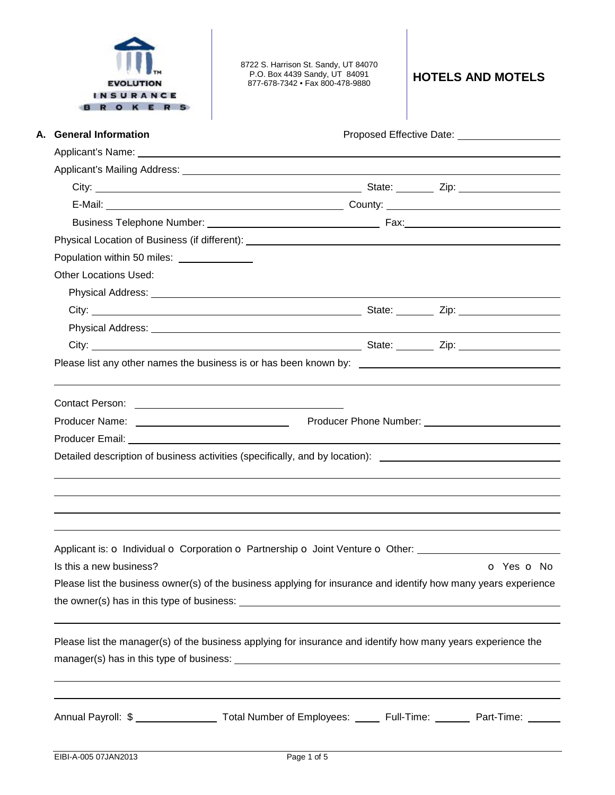

8722 S. Harrison St. Sandy, UT 84070 P.O. Box 4439 Sandy, UT 84091 877-678-7342 • Fax 800-478-9880 **HOTELS AND MOTELS**

| A. General Information                      | Proposed Effective Date: 2000 2012 2022 2023                                                                                                                                                                                         |  |
|---------------------------------------------|--------------------------------------------------------------------------------------------------------------------------------------------------------------------------------------------------------------------------------------|--|
|                                             |                                                                                                                                                                                                                                      |  |
|                                             | Applicant's Mailing Address: <u>Community of the Community of the Community of the Community of the Community of the Community of the Community of the Community of the Community of the Community of the Community of the Commu</u> |  |
|                                             |                                                                                                                                                                                                                                      |  |
|                                             |                                                                                                                                                                                                                                      |  |
|                                             |                                                                                                                                                                                                                                      |  |
|                                             |                                                                                                                                                                                                                                      |  |
| Population within 50 miles: _______________ |                                                                                                                                                                                                                                      |  |
| <b>Other Locations Used:</b>                |                                                                                                                                                                                                                                      |  |
|                                             |                                                                                                                                                                                                                                      |  |
|                                             |                                                                                                                                                                                                                                      |  |
|                                             |                                                                                                                                                                                                                                      |  |
|                                             | City: <u>City:</u> City: City: City: City: City: City: City: City: City: City: City: City: City: City: City: City: City: City: City: City: City: City: City: City: City: City: City: City: City: City: City: City: City: City: City  |  |
|                                             | Please list any other names the business is or has been known by: __________________________________                                                                                                                                 |  |
|                                             |                                                                                                                                                                                                                                      |  |
|                                             |                                                                                                                                                                                                                                      |  |
|                                             | Producer Name: <u>Name: Name: Name: Name of the August of August 2014</u> Producer Phone Number: Name of Name of Trans                                                                                                               |  |
|                                             |                                                                                                                                                                                                                                      |  |
|                                             | Detailed description of business activities (specifically, and by location): ________________________________                                                                                                                        |  |
|                                             |                                                                                                                                                                                                                                      |  |
|                                             |                                                                                                                                                                                                                                      |  |
|                                             |                                                                                                                                                                                                                                      |  |
|                                             |                                                                                                                                                                                                                                      |  |
|                                             | Applicant is: o Individual o Corporation o Partnership o Joint Venture o Other:                                                                                                                                                      |  |
| Is this a new business?                     | O Yes O No                                                                                                                                                                                                                           |  |
|                                             | Please list the business owner(s) of the business applying for insurance and identify how many years experience                                                                                                                      |  |
|                                             |                                                                                                                                                                                                                                      |  |
|                                             |                                                                                                                                                                                                                                      |  |
|                                             | Please list the manager(s) of the business applying for insurance and identify how many years experience the                                                                                                                         |  |
|                                             |                                                                                                                                                                                                                                      |  |
|                                             |                                                                                                                                                                                                                                      |  |
|                                             |                                                                                                                                                                                                                                      |  |
|                                             | Annual Payroll: \$ ___________________ Total Number of Employees: ______ Full-Time: _______ Part-Time: ______                                                                                                                        |  |
|                                             |                                                                                                                                                                                                                                      |  |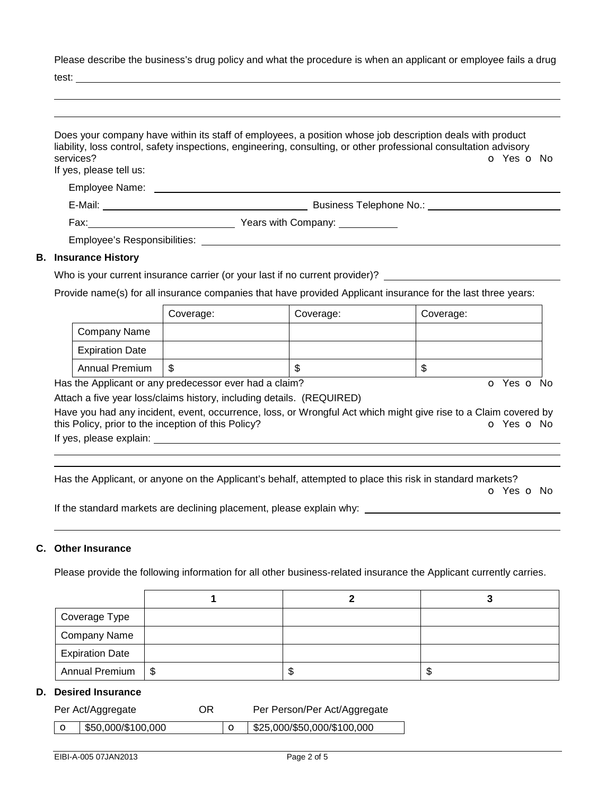Please describe the business's drug policy and what the procedure is when an applicant or employee fails a drug

test:

|                                      | Does your company have within its staff of employees, a position whose job description deals with product<br>liability, loss control, safety inspections, engineering, consulting, or other professional consultation advisory |
|--------------------------------------|--------------------------------------------------------------------------------------------------------------------------------------------------------------------------------------------------------------------------------|
| services?<br>If yes, please tell us: | O Yes O No                                                                                                                                                                                                                     |
|                                      |                                                                                                                                                                                                                                |
|                                      | Business Telephone No.: Note that the set of the set of the set of the set of the set of the set of the set of the set of the set of the set of the set of the set of the set of the set of the set of the set of the set of t |
|                                      | Fax: <u>___________________</u> Years with Company: ___________                                                                                                                                                                |
|                                      |                                                                                                                                                                                                                                |
| <b>B.</b> Insurance History          |                                                                                                                                                                                                                                |
|                                      | Who is your current insurance carrier (or your last if no current provider)?                                                                                                                                                   |

Provide name(s) for all insurance companies that have provided Applicant insurance for the last three years:

|                        | Coverage: | Coverage: | Coverage: |
|------------------------|-----------|-----------|-----------|
| Company Name           |           |           |           |
| <b>Expiration Date</b> |           |           |           |
| <b>Annual Premium</b>  | \$        | w         | ъ         |

Has the Applicant or any predecessor ever had a claim? The Contract of Monocomusic Contract of No. The Contract O

Attach a five year loss/claims history, including details. (REQUIRED)

Have you had any incident, event, occurrence, loss, or Wrongful Act which might give rise to a Claim covered by this Policy, prior to the inception of this Policy? **o Yes o No** Yes **o** No

If yes, please explain: <u>explaining</u> the state of the state of the state of the state of the state of the state of the state of the state of the state of the state of the state of the state of the state of the state of the

Has the Applicant, or anyone on the Applicant's behalf, attempted to place this risk in standard markets? o Yes o No

If the standard markets are declining placement, please explain why:

## **C. Other Insurance**

 

Please provide the following information for all other business-related insurance the Applicant currently carries.

| Coverage Type          |      |    |    |
|------------------------|------|----|----|
| Company Name           |      |    |    |
| <b>Expiration Date</b> |      |    |    |
| <b>Annual Premium</b>  | l \$ | ъD | ъD |

## **D. Desired Insurance**

| Per Act/Aggregate                    | OR | Per Person/Per Act/Aggregate          |
|--------------------------------------|----|---------------------------------------|
| $\vert$ O $\vert$ \$50,000/\$100,000 |    | $\circ$   \$25,000/\$50,000/\$100,000 |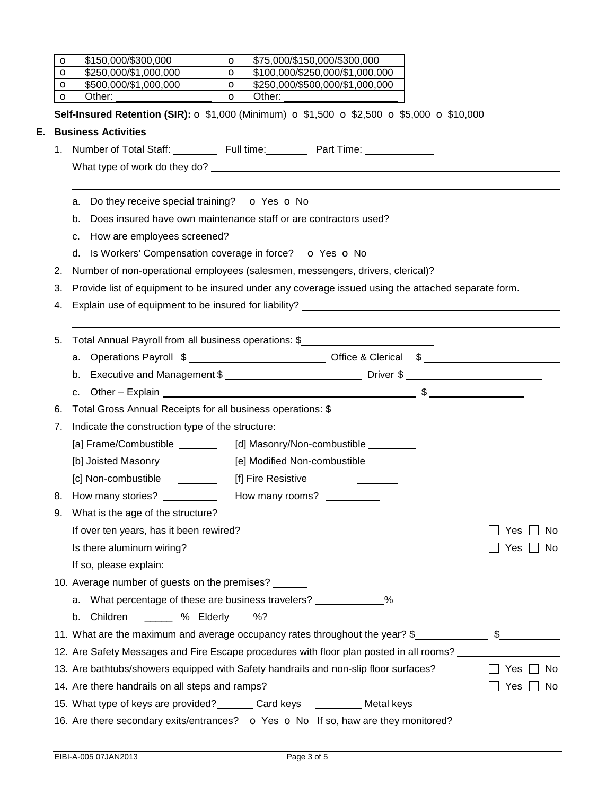|    | O                                                                  | \$150,000/\$300,000<br>$\circ$                                                                           | \$75,000/\$150,000/\$300,000                                                                                                                                                                                                   |            |  |
|----|--------------------------------------------------------------------|----------------------------------------------------------------------------------------------------------|--------------------------------------------------------------------------------------------------------------------------------------------------------------------------------------------------------------------------------|------------|--|
|    | $\circ$                                                            | \$250,000/\$1,000,000<br>$\circ$                                                                         | \$100,000/\$250,000/\$1,000,000                                                                                                                                                                                                |            |  |
|    | O                                                                  | \$500,000/\$1,000,000<br>$\circ$                                                                         | \$250,000/\$500,000/\$1,000,000                                                                                                                                                                                                |            |  |
|    | $\circ$                                                            | Other:<br>$\circ$                                                                                        | Other:                                                                                                                                                                                                                         |            |  |
|    |                                                                    |                                                                                                          | Self-Insured Retention (SIR): O \$1,000 (Minimum) O \$1,500 O \$2,500 O \$5,000 O \$10,000                                                                                                                                     |            |  |
| Е. |                                                                    | <b>Business Activities</b>                                                                               |                                                                                                                                                                                                                                |            |  |
|    | 1.                                                                 |                                                                                                          | Number of Total Staff: Full time: Part Time: Number of Total Staff:                                                                                                                                                            |            |  |
|    |                                                                    |                                                                                                          | What type of work do they do? example a state of the state of the state of the state of the state of the state of the state of the state of the state of the state of the state of the state of the state of the state of the  |            |  |
|    |                                                                    |                                                                                                          |                                                                                                                                                                                                                                |            |  |
|    |                                                                    | a. Do they receive special training? $\bullet$ Yes $\bullet$ No                                          |                                                                                                                                                                                                                                |            |  |
|    |                                                                    | b.                                                                                                       | Does insured have own maintenance staff or are contractors used? ______________________                                                                                                                                        |            |  |
|    |                                                                    | c.                                                                                                       |                                                                                                                                                                                                                                |            |  |
|    |                                                                    | d. Is Workers' Compensation coverage in force? O Yes O No                                                |                                                                                                                                                                                                                                |            |  |
|    | 2.                                                                 |                                                                                                          | Number of non-operational employees (salesmen, messengers, drivers, clerical)?                                                                                                                                                 |            |  |
|    | 3.                                                                 |                                                                                                          | Provide list of equipment to be insured under any coverage issued using the attached separate form.                                                                                                                            |            |  |
|    | 4.                                                                 |                                                                                                          | Explain use of equipment to be insured for liability? Letter and the control of the control of the control of the control of the control of the control of the control of the control of the control of the control of the con |            |  |
|    |                                                                    |                                                                                                          |                                                                                                                                                                                                                                |            |  |
|    | 5.                                                                 |                                                                                                          | Total Annual Payroll from all business operations: \$                                                                                                                                                                          |            |  |
|    |                                                                    |                                                                                                          | a. Operations Payroll \$ ________________________________Office & Clerical \$ ________________________                                                                                                                         |            |  |
|    |                                                                    |                                                                                                          |                                                                                                                                                                                                                                |            |  |
|    |                                                                    |                                                                                                          |                                                                                                                                                                                                                                |            |  |
|    | 6.                                                                 |                                                                                                          | Total Gross Annual Receipts for all business operations: \$                                                                                                                                                                    |            |  |
|    | 7.                                                                 | Indicate the construction type of the structure:                                                         |                                                                                                                                                                                                                                |            |  |
|    |                                                                    | [a] Frame/Combustible _______                                                                            | [d] Masonry/Non-combustible ________                                                                                                                                                                                           |            |  |
|    |                                                                    | [b] Joisted Masonry                                                                                      | [e] Modified Non-combustible ________                                                                                                                                                                                          |            |  |
|    |                                                                    | [c] Non-combustible ________                                                                             | [f] Fire Resistive                                                                                                                                                                                                             |            |  |
|    | 8.                                                                 | How many stories?                                                                                        | How many rooms?                                                                                                                                                                                                                |            |  |
|    | 9.                                                                 | What is the age of the structure?                                                                        |                                                                                                                                                                                                                                |            |  |
|    |                                                                    | If over ten years, has it been rewired?                                                                  |                                                                                                                                                                                                                                | Yes<br>No. |  |
|    |                                                                    | Is there aluminum wiring?                                                                                |                                                                                                                                                                                                                                | Yes ∐ No   |  |
|    |                                                                    |                                                                                                          |                                                                                                                                                                                                                                |            |  |
|    |                                                                    | 10. Average number of guests on the premises?                                                            |                                                                                                                                                                                                                                |            |  |
|    | a. What percentage of these are business travelers? _____________% |                                                                                                          |                                                                                                                                                                                                                                |            |  |
|    |                                                                    | b. Children $\frac{1}{2}$ % Elderly $\frac{1}{2}$ ?                                                      |                                                                                                                                                                                                                                |            |  |
|    |                                                                    | 11. What are the maximum and average occupancy rates throughout the year? \$                             |                                                                                                                                                                                                                                |            |  |
|    |                                                                    |                                                                                                          | 12. Are Safety Messages and Fire Escape procedures with floor plan posted in all rooms?                                                                                                                                        |            |  |
|    |                                                                    | 13. Are bathtubs/showers equipped with Safety handrails and non-slip floor surfaces?<br>Yes $\Box$<br>No |                                                                                                                                                                                                                                |            |  |
|    |                                                                    | 14. Are there handrails on all steps and ramps?                                                          |                                                                                                                                                                                                                                | Yes<br>No. |  |
|    |                                                                    | 15. What type of keys are provided? _______ Card keys _________ Metal keys                               |                                                                                                                                                                                                                                |            |  |
|    |                                                                    |                                                                                                          | 16. Are there secondary exits/entrances? $\bullet$ Yes $\bullet$ No If so, haw are they monitored?                                                                                                                             |            |  |
|    |                                                                    |                                                                                                          |                                                                                                                                                                                                                                |            |  |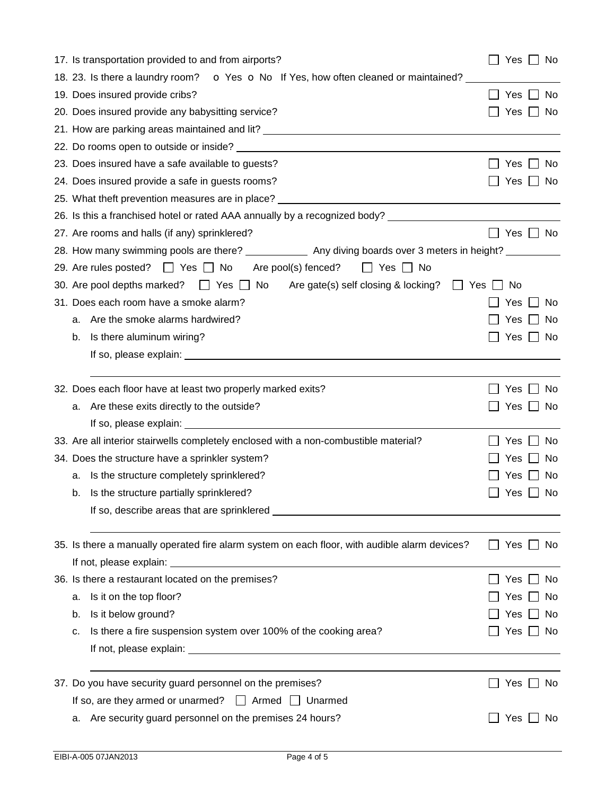| 17. Is transportation provided to and from airports?                                                      | Yes $\Box$<br>No.              |  |  |  |
|-----------------------------------------------------------------------------------------------------------|--------------------------------|--|--|--|
| 18. 23. Is there a laundry room? • O Yes O No If Yes, how often cleaned or maintained?                    |                                |  |  |  |
| 19. Does insured provide cribs?                                                                           | Yes<br>No.                     |  |  |  |
| 20. Does insured provide any babysitting service?                                                         | Yes<br>No                      |  |  |  |
|                                                                                                           |                                |  |  |  |
|                                                                                                           |                                |  |  |  |
| 23. Does insured have a safe available to guests?                                                         | Yes<br>N <sub>o</sub>          |  |  |  |
| 24. Does insured provide a safe in guests rooms?                                                          | Yes<br>No                      |  |  |  |
| 25. What theft prevention measures are in place? ________________________________                         |                                |  |  |  |
| 26. Is this a franchised hotel or rated AAA annually by a recognized body? _________________________      |                                |  |  |  |
| 27. Are rooms and halls (if any) sprinklered?                                                             | $\Box$<br>Yes $\Box$ No        |  |  |  |
| 28. How many swimming pools are there? ______________ Any diving boards over 3 meters in height? ________ |                                |  |  |  |
| 29. Are rules posted? □ Yes □ No Are pool(s) fenced? □ Yes □ No                                           |                                |  |  |  |
| 30. Are pool depths marked? $\Box$ Yes $\Box$ No Are gate(s) self closing & locking? $\Box$ Yes [         | No.                            |  |  |  |
| 31. Does each room have a smoke alarm?                                                                    | Yes<br>No.                     |  |  |  |
| Are the smoke alarms hardwired?<br>a.                                                                     | Yes<br>No.                     |  |  |  |
| Is there aluminum wiring?<br>b.                                                                           | Yes  <br>_l No                 |  |  |  |
|                                                                                                           |                                |  |  |  |
|                                                                                                           |                                |  |  |  |
| 32. Does each floor have at least two properly marked exits?                                              | Yes<br>No                      |  |  |  |
| Are these exits directly to the outside?<br>a.                                                            | Yes $\Box$<br>- No             |  |  |  |
|                                                                                                           |                                |  |  |  |
| 33. Are all interior stairwells completely enclosed with a non-combustible material?                      | <b>Yes</b><br>N <sub>o</sub>   |  |  |  |
| 34. Does the structure have a sprinkler system?                                                           | No<br>Yes                      |  |  |  |
| Is the structure completely sprinklered?<br>a.                                                            | No<br>Yes                      |  |  |  |
| Is the structure partially sprinklered?<br>b.                                                             | Yes<br>  No                    |  |  |  |
|                                                                                                           |                                |  |  |  |
|                                                                                                           |                                |  |  |  |
| 35. Is there a manually operated fire alarm system on each floor, with audible alarm devices?             | Yes [<br>No.<br>$\blacksquare$ |  |  |  |
|                                                                                                           |                                |  |  |  |
| 36. Is there a restaurant located on the premises?                                                        | No<br>Yes                      |  |  |  |
| Is it on the top floor?<br>a.                                                                             | Yes<br>No                      |  |  |  |
| Is it below ground?<br>b.                                                                                 | Yes<br>」No                     |  |  |  |
| Is there a fire suspension system over 100% of the cooking area?<br>c.                                    | Yes $\Box$ No                  |  |  |  |
|                                                                                                           |                                |  |  |  |
|                                                                                                           |                                |  |  |  |
| 37. Do you have security guard personnel on the premises?                                                 | Yes [<br>No                    |  |  |  |
| If so, are they armed or unarmed? $\Box$ Armed $\Box$ Unarmed                                             |                                |  |  |  |
| Are security guard personnel on the premises 24 hours?<br>а.                                              | $Yes \mid \mid No$             |  |  |  |